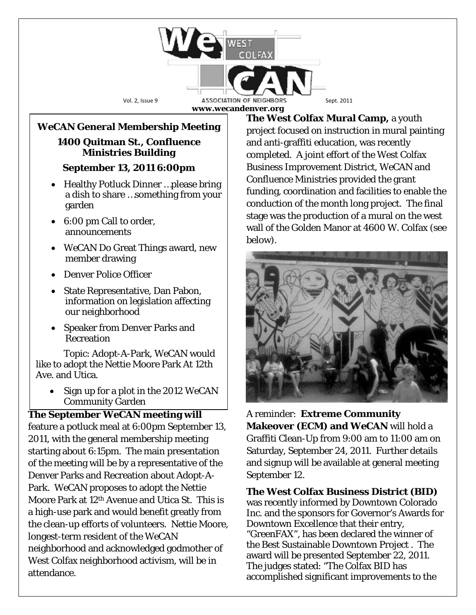

# *WeCAN* **General Membership Meeting**

#### **1400 Quitman St., Confluence Ministries Building**

## **September 13, 2011 6:00pm**

- Healthy Potluck Dinner ...please bring a dish to share …something from your garden
- 6:00 pm Call to order, announcements
- *WeCAN* Do Great Things award, new member drawing
- Denver Police Officer
- State Representative, Dan Pabon, information on legislation affecting our neighborhood
- Speaker from Denver Parks and Recreation

Topic: Adopt-A-Park, *WeCAN* would like to adopt the Nettie Moore Park At 12th Ave. and Utica.

• Sign up for a plot in the 2012 WeCAN Community Garden

## **The September WeCAN meeting will**

feature a potluck meal at 6:00pm September 13, 2011, with the general membership meeting starting about 6:15pm. The main presentation of the meeting will be by a representative of the Denver Parks and Recreation about Adopt-A-Park. *WeCAN* proposes to adopt the Nettie Moore Park at 12th Avenue and Utica St. This is a high-use park and would benefit greatly from the clean-up efforts of volunteers. Nettie Moore, longest-term resident of the *WeCAN* neighborhood and acknowledged godmother of West Colfax neighborhood activism, will be in attendance.

**The West Colfax Mural Camp,** a youth project focused on instruction in mural painting and anti-graffiti education, was recently completed. A joint effort of the West Colfax Business Improvement District, *WeCAN* and Confluence Ministries provided the grant funding, coordination and facilities to enable the conduction of the month long project. The final stage was the production of a mural on the west wall of the Golden Manor at 4600 W. Colfax (see below).



A reminder: **Extreme Community Makeover (ECM) and** *WeCAN* will hold a Graffiti Clean-Up from 9:00 am to 11:00 am on Saturday, September 24, 2011. Further details and signup will be available at general meeting September 12.

**The West Colfax Business District (BID)**

was recently informed by Downtown Colorado Inc. and the sponsors for Governor's Awards for Downtown Excellence that their entry, "GreenFAX", has been declared the winner of the Best Sustainable Downtown Project . The award will be presented September 22, 2011. The judges stated: "The Colfax BID has accomplished significant improvements to the